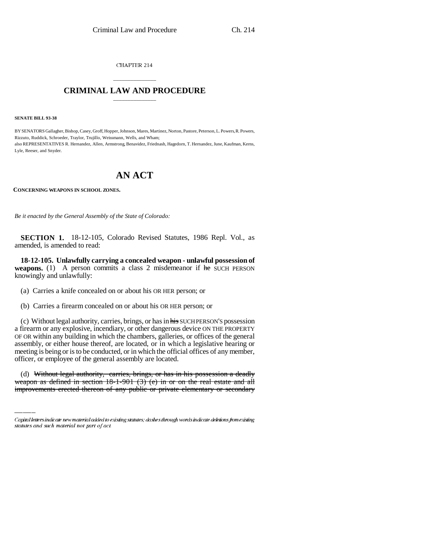CHAPTER 214

## \_\_\_\_\_\_\_\_\_\_\_\_\_\_\_ **CRIMINAL LAW AND PROCEDURE** \_\_\_\_\_\_\_\_\_\_\_\_\_\_\_

**SENATE BILL 93-38**

BY SENATORS Gallagher, Bishop, Casey, Groff, Hopper, Johnson, Mares, Martinez, Norton, Pastore, Peterson, L. Powers, R. Powers, Rizzuto, Ruddick, Schroeder, Traylor, Trujillo, Weissmann, Wells, and Wham; also REPRESENTATIVES R. Hernandez, Allen, Armstrong, Benavidez, Friednash, Hagedorn, T. Hernandez, June, Kaufman, Kerns, Lyle, Reeser, and Snyder.

## **AN ACT**

**CONCERNING WEAPONS IN SCHOOL ZONES.**

*Be it enacted by the General Assembly of the State of Colorado:*

**SECTION 1.** 18-12-105, Colorado Revised Statutes, 1986 Repl. Vol., as amended, is amended to read:

**18-12-105. Unlawfully carrying a concealed weapon - unlawful possession of weapons.** (1) A person commits a class 2 misdemeanor if he SUCH PERSON knowingly and unlawfully:

(a) Carries a knife concealed on or about his OR HER person; or

(b) Carries a firearm concealed on or about his OR HER person; or

officer, or employee of the general assembly are located. (c) Without legal authority, carries, brings, or has in his SUCH PERSON'S possession a firearm or any explosive, incendiary, or other dangerous device ON THE PROPERTY OF OR within any building in which the chambers, galleries, or offices of the general assembly, or either house thereof, are located, or in which a legislative hearing or meeting is being or is to be conducted, or in which the official offices of any member,

(d) Without legal authority, carries, brings, or has in his possession a deadly weapon as defined in section  $18-1-901$  (3) (e) in or on the real estate and all improvements erected thereon of any public or private elementary or secondary

Capital letters indicate new material added to existing statutes; dashes through words indicate deletions from existing statutes and such material not part of act.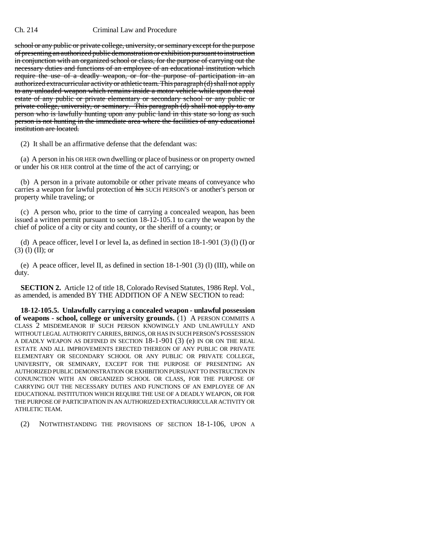## Ch. 214 Criminal Law and Procedure

school or any public or private college, university, or seminary except for the purpose of presenting an authorized public demonstration or exhibition pursuant to instruction in conjunction with an organized school or class, for the purpose of carrying out the necessary duties and functions of an employee of an educational institution which require the use of a deadly weapon, or for the purpose of participation in an authorized extracurricular activity or athletic team. This paragraph (d) shall not apply to any unloaded weapon which remains inside a motor vehicle while upon the real estate of any public or private elementary or secondary school or any public or private college, university, or seminary. This paragraph (d) shall not apply to any person who is lawfully hunting upon any public land in this state so long as such person is not hunting in the immediate area where the facilities of any educational institution are located.

(2) It shall be an affirmative defense that the defendant was:

(a) A person in his OR HER own dwelling or place of business or on property owned or under his OR HER control at the time of the act of carrying; or

(b) A person in a private automobile or other private means of conveyance who carries a weapon for lawful protection of his SUCH PERSON'S or another's person or property while traveling; or

(c) A person who, prior to the time of carrying a concealed weapon, has been issued a written permit pursuant to section 18-12-105.1 to carry the weapon by the chief of police of a city or city and county, or the sheriff of a county; or

(d) A peace officer, level I or level Ia, as defined in section  $18-1-901$  (3) (I) (I) or  $(3)$  (1) (II); or

(e) A peace officer, level II, as defined in section 18-1-901 (3) (l) (III), while on duty.

**SECTION 2.** Article 12 of title 18, Colorado Revised Statutes, 1986 Repl. Vol., as amended, is amended BY THE ADDITION OF A NEW SECTION to read:

**18-12-105.5. Unlawfully carrying a concealed weapon - unlawful possession of weapons - school, college or university grounds.** (1) A PERSON COMMITS A CLASS 2 MISDEMEANOR IF SUCH PERSON KNOWINGLY AND UNLAWFULLY AND WITHOUT LEGAL AUTHORITY CARRIES, BRINGS, OR HAS IN SUCH PERSON'S POSSESSION A DEADLY WEAPON AS DEFINED IN SECTION 18-1-901 (3) (e) IN OR ON THE REAL ESTATE AND ALL IMPROVEMENTS ERECTED THEREON OF ANY PUBLIC OR PRIVATE ELEMENTARY OR SECONDARY SCHOOL OR ANY PUBLIC OR PRIVATE COLLEGE, UNIVERSITY, OR SEMINARY, EXCEPT FOR THE PURPOSE OF PRESENTING AN AUTHORIZED PUBLIC DEMONSTRATION OR EXHIBITION PURSUANT TO INSTRUCTION IN CONJUNCTION WITH AN ORGANIZED SCHOOL OR CLASS, FOR THE PURPOSE OF CARRYING OUT THE NECESSARY DUTIES AND FUNCTIONS OF AN EMPLOYEE OF AN EDUCATIONAL INSTITUTION WHICH REQUIRE THE USE OF A DEADLY WEAPON, OR FOR THE PURPOSE OF PARTICIPATION IN AN AUTHORIZED EXTRACURRICULAR ACTIVITY OR ATHLETIC TEAM.

(2) NOTWITHSTANDING THE PROVISIONS OF SECTION 18-1-106, UPON A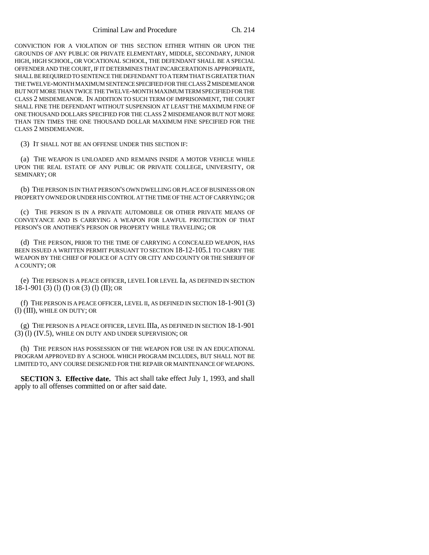CONVICTION FOR A VIOLATION OF THIS SECTION EITHER WITHIN OR UPON THE GROUNDS OF ANY PUBLIC OR PRIVATE ELEMENTARY, MIDDLE, SECONDARY, JUNIOR HIGH, HIGH SCHOOL, OR VOCATIONAL SCHOOL, THE DEFENDANT SHALL BE A SPECIAL OFFENDER AND THE COURT, IF IT DETERMINES THAT INCARCERATION IS APPROPRIATE, SHALL BE REQUIRED TO SENTENCE THE DEFENDANT TO A TERM THAT IS GREATER THAN THE TWELVE-MONTH MAXIMUM SENTENCE SPECIFIED FOR THE CLASS 2 MISDEMEANOR BUT NOT MORE THAN TWICE THE TWELVE-MONTH MAXIMUM TERM SPECIFIED FOR THE CLASS 2 MISDEMEANOR. IN ADDITION TO SUCH TERM OF IMPRISONMENT, THE COURT SHALL FINE THE DEFENDANT WITHOUT SUSPENSION AT LEAST THE MAXIMUM FINE OF ONE THOUSAND DOLLARS SPECIFIED FOR THE CLASS 2 MISDEMEANOR BUT NOT MORE THAN TEN TIMES THE ONE THOUSAND DOLLAR MAXIMUM FINE SPECIFIED FOR THE CLASS 2 MISDEMEANOR.

(3) IT SHALL NOT BE AN OFFENSE UNDER THIS SECTION IF:

(a) THE WEAPON IS UNLOADED AND REMAINS INSIDE A MOTOR VEHICLE WHILE UPON THE REAL ESTATE OF ANY PUBLIC OR PRIVATE COLLEGE, UNIVERSITY, OR SEMINARY; OR

(b) THE PERSON IS IN THAT PERSON'S OWN DWELLING OR PLACE OF BUSINESS OR ON PROPERTY OWNED OR UNDER HIS CONTROL AT THE TIME OF THE ACT OF CARRYING; OR

(c) THE PERSON IS IN A PRIVATE AUTOMOBILE OR OTHER PRIVATE MEANS OF CONVEYANCE AND IS CARRYING A WEAPON FOR LAWFUL PROTECTION OF THAT PERSON'S OR ANOTHER'S PERSON OR PROPERTY WHILE TRAVELING; OR

(d) THE PERSON, PRIOR TO THE TIME OF CARRYING A CONCEALED WEAPON, HAS BEEN ISSUED A WRITTEN PERMIT PURSUANT TO SECTION 18-12-105.1 TO CARRY THE WEAPON BY THE CHIEF OF POLICE OF A CITY OR CITY AND COUNTY OR THE SHERIFF OF A COUNTY; OR

(e) THE PERSON IS A PEACE OFFICER, LEVEL I OR LEVEL Ia, AS DEFINED IN SECTION 18-1-901 (3) (l) (I) OR (3) (l) (II); OR

(f) THE PERSON IS A PEACE OFFICER, LEVEL II, AS DEFINED IN SECTION 18-1-901 (3) (l) (III), WHILE ON DUTY; OR

(g) THE PERSON IS A PEACE OFFICER, LEVEL IIIa, AS DEFINED IN SECTION 18-1-901 (3) (l) (IV.5), WHILE ON DUTY AND UNDER SUPERVISION; OR

(h) THE PERSON HAS POSSESSION OF THE WEAPON FOR USE IN AN EDUCATIONAL PROGRAM APPROVED BY A SCHOOL WHICH PROGRAM INCLUDES, BUT SHALL NOT BE LIMITED TO, ANY COURSE DESIGNED FOR THE REPAIR OR MAINTENANCE OF WEAPONS.

**SECTION 3. Effective date.** This act shall take effect July 1, 1993, and shall apply to all offenses committed on or after said date.